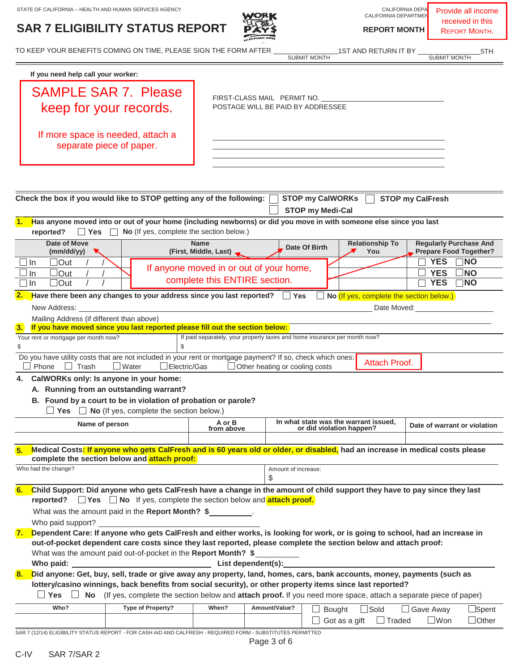## **SAR 7 ELIGIBILITY STATUS REPORT <b>PASS**



CALIFORNIA DEPARTMEN

Provide all income received in this REPORT MONTH.

TO KEEP YOUR BENEFITS COMING ON TIME, PLEASE SIGN THE FORM AFTER 1ST AND RETURN IT BY 5TH

SUBMIT MONTH

| If you need help call your worker:                                                                                                                                                                                                                                                                                                                                                  |                                         |                                                                           |                                                   |                                                                |  |  |  |
|-------------------------------------------------------------------------------------------------------------------------------------------------------------------------------------------------------------------------------------------------------------------------------------------------------------------------------------------------------------------------------------|-----------------------------------------|---------------------------------------------------------------------------|---------------------------------------------------|----------------------------------------------------------------|--|--|--|
| <b>SAMPLE SAR 7. Please</b>                                                                                                                                                                                                                                                                                                                                                         | FIRST-CLASS MAIL PERMIT NO.             |                                                                           |                                                   |                                                                |  |  |  |
| keep for your records.                                                                                                                                                                                                                                                                                                                                                              |                                         | POSTAGE WILL BE PAID BY ADDRESSEE                                         |                                                   |                                                                |  |  |  |
| If more space is needed, attach a<br>separate piece of paper.                                                                                                                                                                                                                                                                                                                       |                                         |                                                                           |                                                   |                                                                |  |  |  |
|                                                                                                                                                                                                                                                                                                                                                                                     |                                         |                                                                           |                                                   |                                                                |  |  |  |
| Check the box if you would like to STOP getting any of the following:                                                                                                                                                                                                                                                                                                               |                                         | <b>STOP my CalWORKs</b><br><b>STOP my Medi-Cal</b>                        |                                                   | <b>STOP my CalFresh</b>                                        |  |  |  |
| Has anyone moved into or out of your home (including newborns) or did you move in with someone else since you last<br>No (If yes, complete the section below.)<br>reported?<br><b>Yes</b>                                                                                                                                                                                           |                                         |                                                                           |                                                   |                                                                |  |  |  |
| <b>Date of Move</b><br>(mm/dd/yy)                                                                                                                                                                                                                                                                                                                                                   | <b>Name</b><br>(First, Middle, Last)    | Date Of Birth                                                             | <b>Relationship To</b><br>You                     | <b>Regularly Purchase And</b><br><b>Prepare Food Together?</b> |  |  |  |
| $\Box$ Out<br>] In                                                                                                                                                                                                                                                                                                                                                                  | If anyone moved in or out of your home, |                                                                           |                                                   | <b>YES</b><br>∃NO                                              |  |  |  |
| $\lrcorner$ Out<br>In<br>$\Box$ Out<br>l In                                                                                                                                                                                                                                                                                                                                         | complete this ENTIRE section.           |                                                                           |                                                   | <b>YES</b><br><b>NO</b><br><b>YES</b><br>$\neg$ NO             |  |  |  |
| Have there been any changes to your address since you last reported?                                                                                                                                                                                                                                                                                                                |                                         | $\Box$ Yes                                                                | No (If yes, complete the section below.)          |                                                                |  |  |  |
| New Address:                                                                                                                                                                                                                                                                                                                                                                        |                                         |                                                                           | Date Moved:                                       |                                                                |  |  |  |
| Mailing Address (if different than above)                                                                                                                                                                                                                                                                                                                                           |                                         |                                                                           |                                                   |                                                                |  |  |  |
| If you have moved since you last reported please fill out the section below:<br>3.                                                                                                                                                                                                                                                                                                  |                                         |                                                                           |                                                   |                                                                |  |  |  |
| Your rent or mortgage per month now?<br>\$<br>\$                                                                                                                                                                                                                                                                                                                                    |                                         | If paid separately, your property taxes and home insurance per month now? |                                                   |                                                                |  |  |  |
| Do you have utility costs that are not included in your rent or mortgage payment? If so, check which ones:<br>Phone<br>Trash<br>$\Box$ Water<br>Electric/Gas                                                                                                                                                                                                                        |                                         | Other heating or cooling costs                                            | Attach Proof.                                     |                                                                |  |  |  |
| CalWORKs only: Is anyone in your home:<br>4.                                                                                                                                                                                                                                                                                                                                        |                                         |                                                                           |                                                   |                                                                |  |  |  |
| A. Running from an outstanding warrant?                                                                                                                                                                                                                                                                                                                                             |                                         |                                                                           |                                                   |                                                                |  |  |  |
| B. Found by a court to be in violation of probation or parole?<br>No (If yes, complete the section below.)<br>$\Box$ Yes $\Box$                                                                                                                                                                                                                                                     |                                         |                                                                           |                                                   |                                                                |  |  |  |
| Name of person                                                                                                                                                                                                                                                                                                                                                                      | A or B<br>from above                    | In what state was the warrant issued,<br>or did violation happen?         |                                                   | Date of warrant or violation                                   |  |  |  |
| Medical Costs <mark>: If anyone who gets CalFresh and is 60 years old or older, or disabled,</mark> had an increase in medical costs please<br>complete the section below and attach proof:                                                                                                                                                                                         |                                         |                                                                           |                                                   |                                                                |  |  |  |
| Who had the change?                                                                                                                                                                                                                                                                                                                                                                 |                                         | Amount of increase:<br>\$                                                 |                                                   |                                                                |  |  |  |
| 6.<br>Child Support: Did anyone who gets CalFresh have a change in the amount of child support they have to pay since they last                                                                                                                                                                                                                                                     |                                         |                                                                           |                                                   |                                                                |  |  |  |
| <b>reported?</b> $\Box$ <b>Yes</b> $\Box$ <b>No</b> If yes, complete the section below and <b>attach proof.</b>                                                                                                                                                                                                                                                                     |                                         |                                                                           |                                                   |                                                                |  |  |  |
| What was the amount paid in the Report Month? \$                                                                                                                                                                                                                                                                                                                                    |                                         |                                                                           |                                                   |                                                                |  |  |  |
| Dependent Care: If anyone who gets CalFresh and either works, is looking for work, or is going to school, had an increase in<br>7.<br>out-of-pocket dependent care costs since they last reported, please complete the section below and attach proof:<br>What was the amount paid out-of-pocket in the Report Month? \$                                                            |                                         |                                                                           |                                                   |                                                                |  |  |  |
|                                                                                                                                                                                                                                                                                                                                                                                     |                                         |                                                                           |                                                   |                                                                |  |  |  |
| Did anyone: Get, buy, sell, trade or give away any property, land, homes, cars, bank accounts, money, payments (such as<br>8.<br>lottery/casino winnings, back benefits from social security), or other property items since last reported?<br>$\Box$ Yes $\Box$ No (If yes, complete the section below and attach proof. If you need more space, attach a separate piece of paper) |                                         |                                                                           |                                                   |                                                                |  |  |  |
| Who?<br>Type of Property?                                                                                                                                                                                                                                                                                                                                                           | When?                                   | Amount/Value?                                                             |                                                   |                                                                |  |  |  |
|                                                                                                                                                                                                                                                                                                                                                                                     |                                         | Bought                                                                    | $\Box$ Sold<br>$\Box$ Got as a gift $\Box$ Traded | $\Box$ Spent<br>$\Box$ Gave Away<br>$\Box$ Won<br>$\Box$ Other |  |  |  |

SAR 7 (12/14) ELIGIBILITY STATUS REPORT - FOR CASH AID AND CALFRESH - REQUIRED FORM - SUBSTITUTES PERMITTED